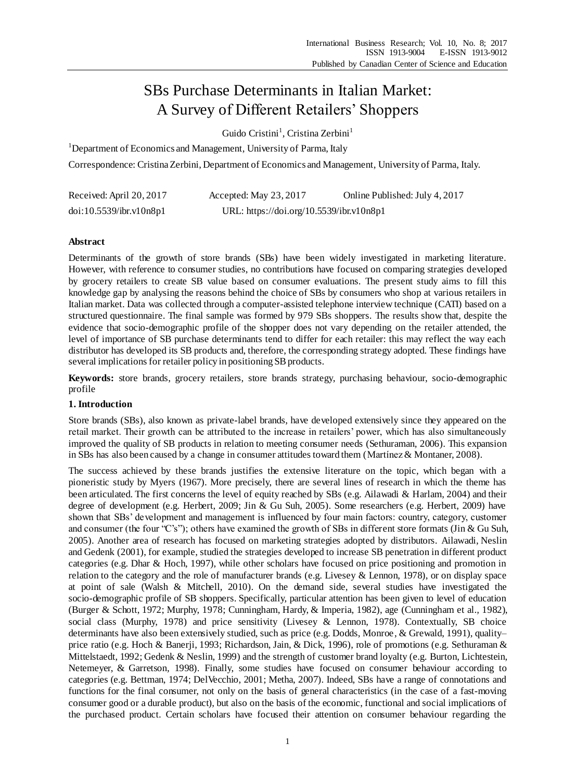# SBs Purchase Determinants in Italian Market: A Survey of Different Retailers' Shoppers

Guido Cristini<sup>1</sup>, Cristina Zerbini<sup>1</sup>

<sup>1</sup>Department of Economics and Management, University of Parma, Italy Correspondence: Cristina Zerbini, Department of Economics and Management, University of Parma, Italy.

| Received: April 20, 2017 | Accepted: May 23, 2017                   | Online Published: July 4, 2017 |
|--------------------------|------------------------------------------|--------------------------------|
| doi:10.5539/ibr.v10n8p1  | URL: https://doi.org/10.5539/ibr.v10n8p1 |                                |

# **Abstract**

Determinants of the growth of store brands (SBs) have been widely investigated in marketing literature. However, with reference to consumer studies, no contributions have focused on comparing strategies developed by grocery retailers to create SB value based on consumer evaluations. The present study aims to fill this knowledge gap by analysing the reasons behind the choice of SBs by consumers who shop at various retailers in Italian market. Data was collected through a computer-assisted telephone interview technique (CATI) based on a structured questionnaire. The final sample was formed by 979 SBs shoppers. The results show that, despite the evidence that socio-demographic profile of the shopper does not vary depending on the retailer attended, the level of importance of SB purchase determinants tend to differ for each retailer: this may reflect the way each distributor has developed its SB products and, therefore, the corresponding strategy adopted. These findings have several implications for retailer policy in positioning SB products.

**Keywords:** store brands, grocery retailers, store brands strategy, purchasing behaviour, socio-demographic profile

# **1. Introduction**

Store brands (SBs), also known as private-label brands, have developed extensively since they appeared on the retail market. Their growth can be attributed to the increase in retailers' power, which has also simultaneously improved the quality of SB products in relation to meeting consumer needs (Sethuraman, 2006). This expansion in SBs has also been caused by a change in consumer attitudes toward them (Martínez & Montaner, 2008).

The success achieved by these brands justifies the extensive literature on the topic, which began with a pioneristic study by Myers (1967). More precisely, there are several lines of research in which the theme has been articulated. The first concerns the level of equity reached by SBs (e.g. Ailawadi & Harlam, 2004) and their degree of development (e.g. Herbert, 2009; Jin & Gu Suh, 2005). Some researchers (e.g. Herbert, 2009) have shown that SBs' development and management is influenced by four main factors: country, category, customer and consumer (the four "C's"); others have examined the growth of SBs in different store formats (Jin & Gu Suh, 2005). Another area of research has focused on marketing strategies adopted by distributors. Ailawadi, Neslin and Gedenk (2001), for example, studied the strategies developed to increase SB penetration in different product categories (e.g. Dhar & Hoch, 1997), while other scholars have focused on price positioning and promotion in relation to the category and the role of manufacturer brands (e.g. Livesey & Lennon, 1978), or on display space at point of sale (Walsh & Mitchell, 2010). On the demand side, several studies have investigated the socio-demographic profile of SB shoppers. Specifically, particular attention has been given to level of education (Burger & Schott, 1972; Murphy, 1978; Cunningham, Hardy, & Imperia, 1982), age (Cunningham et al.*,* 1982), social class (Murphy, 1978) and price sensitivity (Livesey & Lennon, 1978). Contextually, SB choice determinants have also been extensively studied, such as price (e.g. Dodds, Monroe, & Grewald, 1991), quality– price ratio (e.g. Hoch & Banerji, 1993; Richardson, Jain, & Dick, 1996), role of promotions (e.g. Sethuraman & Mittelstaedt, 1992; Gedenk & Neslin, 1999) and the strength of customer brand loyalty (e.g. Burton, Lichtestein, Netemeyer, & Garretson*,* 1998). Finally, some studies have focused on consumer behaviour according to categories (e.g. Bettman, 1974; DelVecchio, 2001; Metha, 2007). Indeed, SBs have a range of connotations and functions for the final consumer, not only on the basis of general characteristics (in the case of a fast-moving consumer good or a durable product), but also on the basis of the economic, functional and social implications of the purchased product. Certain scholars have focused their attention on consumer behaviour regarding the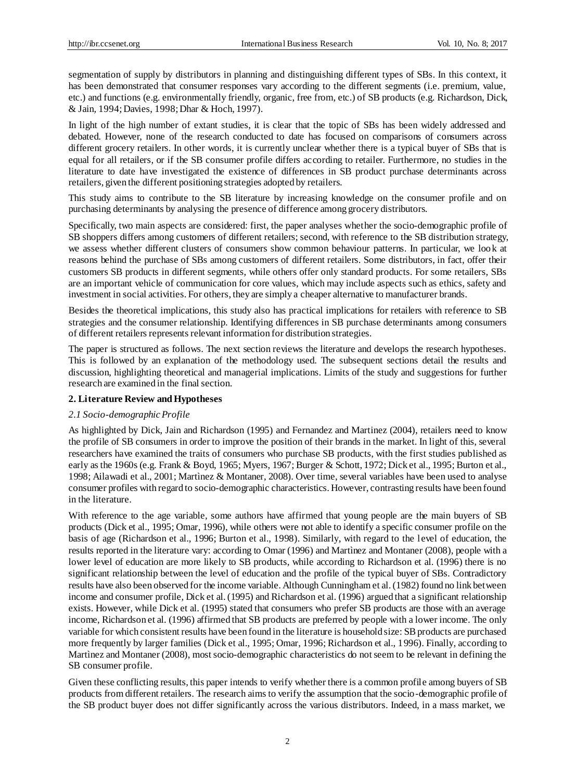segmentation of supply by distributors in planning and distinguishing different types of SBs. In this context, it has been demonstrated that consumer responses vary according to the different segments (i.e. premium, value, etc.) and functions (e.g. environmentally friendly, organic, free from, etc.) of SB products (e.g. Richardson, Dick, & Jain*,* 1994; Davies, 1998; Dhar & Hoch, 1997).

In light of the high number of extant studies, it is clear that the topic of SBs has been widely addressed and debated. However, none of the research conducted to date has focused on comparisons of consumers across different grocery retailers. In other words, it is currently unclear whether there is a typical buyer of SBs that is equal for all retailers, or if the SB consumer profile differs according to retailer. Furthermore, no studies in the literature to date have investigated the existence of differences in SB product purchase determinants across retailers, given the different positioning strategies adopted by retailers.

This study aims to contribute to the SB literature by increasing knowledge on the consumer profile and on purchasing determinants by analysing the presence of difference among grocery distributors.

Specifically, two main aspects are considered: first, the paper analyses whether the socio-demographic profile of SB shoppers differs among customers of different retailers; second, with reference to the SB distribution strategy, we assess whether different clusters of consumers show common behaviour patterns. In particular, we look at reasons behind the purchase of SBs among customers of different retailers. Some distributors, in fact, offer their customers SB products in different segments, while others offer only standard products. For some retailers, SBs are an important vehicle of communication for core values, which may include aspects such as ethics, safety and investment in social activities. For others, they are simply a cheaper alternative to manufacturer brands.

Besides the theoretical implications, this study also has practical implications for retailers with reference to SB strategies and the consumer relationship. Identifying differences in SB purchase determinants among consumers of different retailers represents relevant information for distribution strategies.

The paper is structured as follows. The next section reviews the literature and develops the research hypotheses. This is followed by an explanation of the methodology used. The subsequent sections detail the results and discussion, highlighting theoretical and managerial implications. Limits of the study and suggestions for further research are examined in the final section.

# **2. Literature Review and Hypotheses**

# *2.1 Socio-demographic Profile*

As highlighted by Dick, Jain and Richardson (1995) and Fernandez and Martinez (2004), retailers need to know the profile of SB consumers in order to improve the position of their brands in the market. In light of this, several researchers have examined the traits of consumers who purchase SB products, with the first studies published as early as the 1960s (e.g. Frank & Boyd, 1965; Myers, 1967; Burger & Schott, 1972; Dick et al., 1995; Burton et al., 1998; Ailawadi et al., 2001; Mart hez & Montaner, 2008). Over time, several variables have been used to analyse consumer profiles with regard to socio-demographic characteristics. However, contrasting results have been found in the literature.

With reference to the age variable, some authors have affirmed that young people are the main buyers of SB products (Dick et al., 1995; Omar, 1996), while others were not able to identify a specific consumer profile on the basis of age (Richardson et al., 1996; Burton et al., 1998). Similarly, with regard to the level of education, the results reported in the literature vary: according to Omar (1996) and Martìnez and Montaner (2008), people with a lower level of education are more likely to SB products, while according to Richardson et al. (1996) there is no significant relationship between the level of education and the profile of the typical buyer of SBs. Contradictory results have also been observed for the income variable. Although Cunningham et al. (1982) found no link between income and consumer profile, Dick et al. (1995) and Richardson et al. (1996) argued that a significant relationship exists. However, while Dick et al. (1995) stated that consumers who prefer SB products are those with an average income, Richardson et al. (1996) affirmed that SB products are preferred by people with a lower income. The only variable for which consistent results have been found in the literature is household size: SB products are purchased more frequently by larger families (Dick et al., 1995; Omar, 1996; Richardson et al., 1996). Finally, according to Mart hez and Montaner (2008), most socio-demographic characteristics do not seem to be relevant in defining the SB consumer profile.

Given these conflicting results, this paper intends to verify whether there is a common profile among buyers of SB products from different retailers. The research aims to verify the assumption that the socio-demographic profile of the SB product buyer does not differ significantly across the various distributors. Indeed, in a mass market, we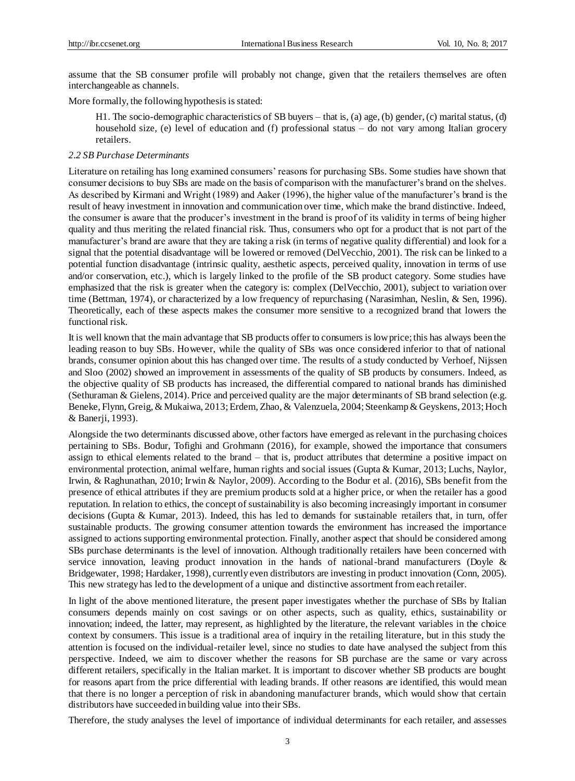assume that the SB consumer profile will probably not change, given that the retailers themselves are often interchangeable as channels.

More formally, the following hypothesis is stated:

H1. The socio-demographic characteristics of SB buyers – that is, (a) age, (b) gender, (c) marital status, (d) household size, (e) level of education and (f) professional status – do not vary among Italian grocery retailers.

#### *2.2 SB Purchase Determinants*

Literature on retailing has long examined consumers' reasons for purchasing SBs. Some studies have shown that consumer decisions to buy SBs are made on the basis of comparison with the manufacturer's brand on the shelves. As described by Kirmani and Wright (1989) and Aaker (1996), the higher value of the manufacturer's brand is the result of heavy investment in innovation and communication over time, which make the brand distinctive. Indeed, the consumer is aware that the producer's investment in the brand is proof of its validity in terms of being higher quality and thus meriting the related financial risk. Thus, consumers who opt for a product that is not part of the manufacturer's brand are aware that they are taking a risk (in terms of negative quality differential) and look for a signal that the potential disadvantage will be lowered or removed (DelVecchio, 2001). The risk can be linked to a potential function disadvantage (intrinsic quality, aesthetic aspects, perceived quality, innovation in terms of use and/or conservation, etc.), which is largely linked to the profile of the SB product category. Some studies have emphasized that the risk is greater when the category is: complex (DelVecchio, 2001), subject to variation over time (Bettman, 1974), or characterized by a low frequency of repurchasing (Narasimhan, Neslin, & Sen, 1996). Theoretically, each of these aspects makes the consumer more sensitive to a recognized brand that lowers the functional risk.

It is well known that the main advantage that SB products offer to consumers is low price; this has always been the leading reason to buy SBs. However, while the quality of SBs was once considered inferior to that of national brands, consumer opinion about this has changed over time. The results of a study conducted by Verhoef, Nijssen and Sloo (2002) showed an improvement in assessments of the quality of SB products by consumers. Indeed, as the objective quality of SB products has increased, the differential compared to national brands has diminished (Sethuraman & Gielens, 2014). Price and perceived quality are the major determinants of SB brand selection (e.g. Beneke, Flynn, Greig, & Mukaiwa, 2013; Erdem, Zhao, & Valenzuela, 2004; Steenkamp & Geyskens, 2013; Hoch & Banerji, 1993).

Alongside the two determinants discussed above, other factors have emerged as relevant in the purchasing choices pertaining to SBs. Bodur, Tofighi and Grohmann (2016), for example, showed the importance that consumers assign to ethical elements related to the brand – that is, product attributes that determine a positive impact on environmental protection, animal welfare, human rights and social issues (Gupta & Kumar, 2013; Luchs, Naylor, Irwin, & Raghunathan, 2010; Irwin & Naylor, 2009). According to the Bodur et al. (2016), SBs benefit from the presence of ethical attributes if they are premium products sold at a higher price, or when the retailer has a good reputation. In relation to ethics, the concept of sustainability is also becoming increasingly important in consumer decisions (Gupta & Kumar, 2013). Indeed, this has led to demands for sustainable retailers that, in turn, offer sustainable products. The growing consumer attention towards the environment has increased the importance assigned to actions supporting environmental protection. Finally, another aspect that should be considered among SBs purchase determinants is the level of innovation. Although traditionally retailers have been concerned with service innovation, leaving product innovation in the hands of national-brand manufacturers (Doyle & Bridgewater, 1998; Hardaker, 1998), currently even distributors are investing in product innovation (Conn, 2005). This new strategy has led to the development of a unique and distinctive assortment from each retailer.

In light of the above mentioned literature, the present paper investigates whether the purchase of SBs by Italian consumers depends mainly on cost savings or on other aspects, such as quality, ethics, sustainability or innovation; indeed, the latter, may represent, as highlighted by the literature, the relevant variables in the choice context by consumers. This issue is a traditional area of inquiry in the retailing literature, but in this study the attention is focused on the individual-retailer level, since no studies to date have analysed the subject from this perspective. Indeed, we aim to discover whether the reasons for SB purchase are the same or vary across different retailers, specifically in the Italian market. It is important to discover whether SB products are bought for reasons apart from the price differential with leading brands. If other reasons are identified, this would mean that there is no longer a perception of risk in abandoning manufacturer brands, which would show that certain distributors have succeeded in building value into their SBs.

Therefore, the study analyses the level of importance of individual determinants for each retailer, and assesses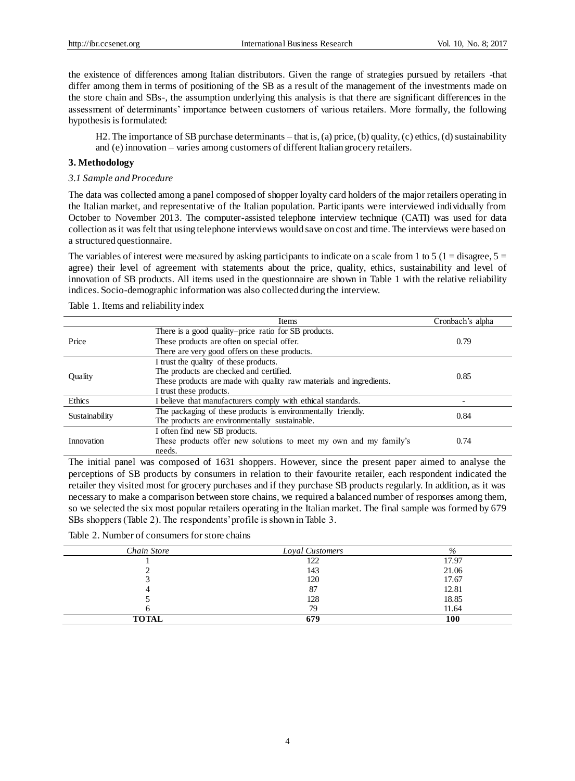the existence of differences among Italian distributors. Given the range of strategies pursued by retailers -that differ among them in terms of positioning of the SB as a result of the management of the investments made on the store chain and SBs-, the assumption underlying this analysis is that there are significant differences in the assessment of determinants' importance between customers of various retailers. More formally, the following hypothesis is formulated:

H2. The importance of SB purchase determinants – that is, (a) price, (b) quality, (c) ethics, (d) sustainability and (e) innovation – varies among customers of different Italian grocery retailers.

## **3. Methodology**

## *3.1 Sample and Procedure*

The data was collected among a panel composed of shopper loyalty card holders of the major retailers operating in the Italian market, and representative of the Italian population. Participants were interviewed individually from October to November 2013. The computer-assisted telephone interview technique (CATI) was used for data collection as it was felt that using telephone interviews would save on cost and time. The interviews were based on a structured questionnaire.

The variables of interest were measured by asking participants to indicate on a scale from 1 to 5 (1 = disagree,  $5 =$ agree) their level of agreement with statements about the price, quality, ethics, sustainability and level of innovation of SB products. All items used in the questionnaire are shown in Table 1 with the relative reliability indices. Socio-demographic information was also collected during the interview.

Items Cronbach's alpha Price There is a good quality–price ratio for SB products. These products are often on special offer. 0.79 There are very good offers on these products. Quality I trust the quality of these products. The products are checked and certified.<br>These products are mode with multiple are protected and in the district These products are made with quality raw materials and ingredients. I trust these products. Ethics I believe that manufacturers comply with ethical standards Sustainability The packaging of these products is environmentally friendly. 0.84 The products are environmentally sustainable. Innovation I often find new SB products. These products offer new solutions to meet my own and my family's 0.74 needs.

Table 1. Items and reliability index

The initial panel was composed of 1631 shoppers. However, since the present paper aimed to analyse the perceptions of SB products by consumers in relation to their favourite retailer, each respondent indicated the retailer they visited most for grocery purchases and if they purchase SB products regularly. In addition, as it was necessary to make a comparison between store chains, we required a balanced number of responses among them, so we selected the six most popular retailers operating in the Italian market. The final sample was formed by 679 SBs shoppers (Table 2). The respondents' profile is shown in Table 3.

Table 2. Number of consumers for store chains

| Chain Store  | Loyal Customers | $\%$  |
|--------------|-----------------|-------|
|              | 122<br>∸∸       | 17.97 |
|              | 143             | 21.06 |
|              | 120             | 17.67 |
|              | 87              | 12.81 |
|              | 128             | 18.85 |
|              | 79              | 11.64 |
| <b>TOTAL</b> | ٬70             | 100   |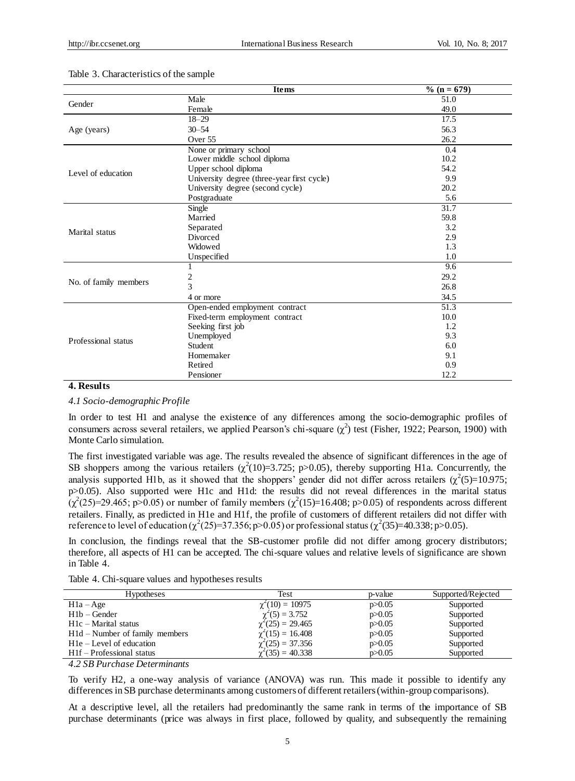|                       | <b>Items</b>                               | $\% (n = 679)$ |
|-----------------------|--------------------------------------------|----------------|
| Gender                | Male                                       | 51.0           |
|                       | Female                                     | 49.0           |
|                       | $18 - 29$                                  | 17.5           |
| Age (years)           | $30 - 54$                                  | 56.3           |
|                       | Over 55                                    | 26.2           |
|                       | None or primary school                     | 0.4            |
|                       | Lower middle school diploma                | 10.2           |
| Level of education    | Upper school diploma                       | 54.2           |
|                       | University degree (three-year first cycle) | 9.9            |
|                       | University degree (second cycle)           | 20.2           |
|                       | Postgraduate                               | 5.6            |
|                       | Single                                     | 31.7           |
|                       | Married                                    | 59.8           |
| Marital status        | Separated                                  | 3.2            |
|                       | Divorced                                   | 2.9            |
|                       | Widowed                                    | 1.3            |
|                       | Unspecified                                | 1.0            |
| No. of family members |                                            | 9.6            |
|                       | 2                                          | 29.2           |
|                       | 3                                          | 26.8           |
|                       | 4 or more                                  | 34.5           |
| Professional status   | Open-ended employment contract             | 51.3           |
|                       | Fixed-term employment contract             | 10.0           |
|                       | Seeking first job                          | 1.2            |
|                       | Unemployed                                 | 9.3            |
|                       | Student                                    | 6.0            |
|                       | Homemaker                                  | 9.1            |
|                       | Retired                                    | 0.9            |
|                       | Pensioner                                  | 12.2           |

## Table 3. Characteristics of the sample

## **4. Results**

*4.1 Socio-demographic Profile*

In order to test H1 and analyse the existence of any differences among the socio-demographic profiles of consumers across several retailers, we applied Pearson's chi-square  $(\chi^2)$  test (Fisher, 1922; Pearson, 1900) with Monte Carlo simulation.

The first investigated variable was age. The results revealed the absence of significant differences in the age of SB shoppers among the various retailers  $(\chi^2(10)=3.725; p>0.05)$ , thereby supporting H1a. Concurrently, the analysis supported H1b, as it showed that the shoppers' gender did not differ across retailers  $(\chi^2(5)=10.975)$ ; p>0.05). Also supported were H1c and H1d: the results did not reveal differences in the marital status  $(\chi^2(25)=29.465; p>0.05)$  or number of family members  $(\chi^2(15)=16.408; p>0.05)$  of respondents across different retailers. Finally, as predicted in H1e and H1f, the profile of customers of different retailers did not differ with reference to level of education ( $\chi^2(25)=37.356$ ; p>0.05) or professional status ( $\chi^2(35)=40.338$ ; p>0.05).

In conclusion, the findings reveal that the SB-customer profile did not differ among grocery distributors; therefore, all aspects of H1 can be accepted. The chi-square values and relative levels of significance are shown in Table 4.

Table 4. Chi-square values and hypotheses results

| <b>Hypotheses</b>                     | Test                    | p-value  | Supported/Rejected |
|---------------------------------------|-------------------------|----------|--------------------|
| $H1a - Age$                           | $\chi^2(10) = 10975$    | p > 0.05 | Supported          |
| $H1b - \text{Gender}$                 | $\chi^2(5) = 3.752$     | p > 0.05 | Supported          |
| $H1c -$ Marital status                | $\chi^2(25) = 29.465$   | p > 0.05 | Supported          |
| H1d – Number of family members        | $\gamma^2(15) = 16.408$ | p > 0.05 | Supported          |
| $H1e - Level$ of education            | $\gamma^2(25) = 37.356$ | p > 0.05 | Supported          |
| H <sub>1f</sub> – Professional status | $\gamma^2(35) = 40.338$ | p > 0.05 | Supported          |
|                                       |                         |          |                    |

*4.2 SB Purchase Determinants*

To verify H2, a one-way analysis of variance (ANOVA) was run. This made it possible to identify any differences in SB purchase determinants among customers of different retailers (within-group comparisons).

At a descriptive level, all the retailers had predominantly the same rank in terms of the importance of SB purchase determinants (price was always in first place, followed by quality, and subsequently the remaining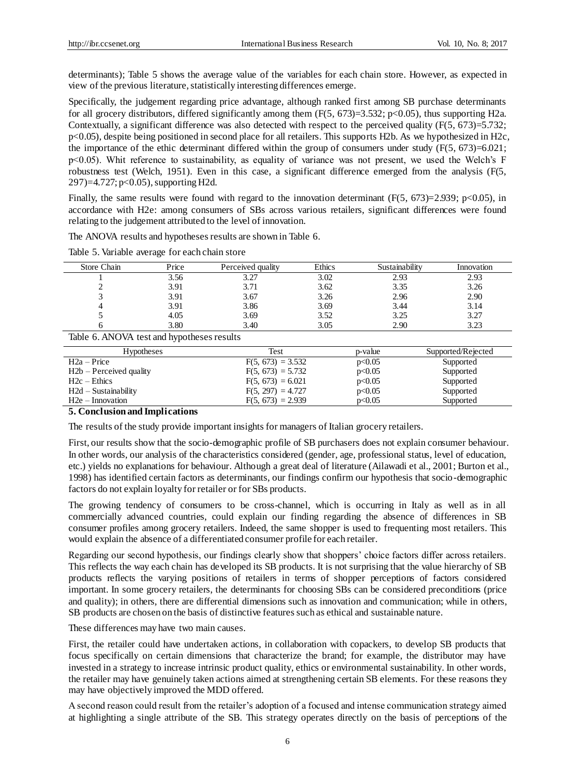determinants); Table 5 shows the average value of the variables for each chain store. However, as expected in view of the previous literature, statistically interesting differences emerge.

Specifically, the judgement regarding price advantage, although ranked first among SB purchase determinants for all grocery distributors, differed significantly among them  $(F(5, 673)=3.532; p<0.05)$ , thus supporting H2a. Contextually, a significant difference was also detected with respect to the perceived quality ( $F(5, 673)=5.732$ ; p<0.05), despite being positioned in second place for all retailers. This supports H2b. As we hypothesized in H2c, the importance of the ethic determinant differed within the group of consumers under study  $(F(5, 673)=6.021;$ p<0.05). Whit reference to sustainability, as equality of variance was not present, we used the Welch's F robustness test (Welch, 1951). Even in this case, a significant difference emerged from the analysis (F(5, 297)=4.727; p<0.05), supporting H2d.

Finally, the same results were found with regard to the innovation determinant  $(F(5, 673)=2.939; p<0.05)$ , in accordance with H2e: among consumers of SBs across various retailers, significant differences were found relating to the judgement attributed to the level of innovation.

The ANOVA results and hypotheses results are shown in Table 6.

| Store Chain | Price | Perceived quality | Ethics | Sustainability | Innovation |
|-------------|-------|-------------------|--------|----------------|------------|
|             | 3.56  | 3.27<br>ے . د     | 3.02   | 2.93           | 2.93       |
|             | 3.91  | 3.71              | 3.62   | 3.35           | 3.26       |
|             | 3.91  | 3.67              | 3.26   | 2.96           | 2.90       |
|             | 3.91  | 3.86              | 3.69   | 3.44           | 3.14       |
|             | 4.05  | 3.69              | 3.52   | 3.25           | 3.27       |
|             | 3.80  | 3.40              | 3.05   | 2.90           | 3.23       |

Table 5. Variable average for each chain store

Table 6. ANOVA test and hypotheses results

| <b>Hypotheses</b>         | <b>Test</b>         | p-value | Supported/Rejected |
|---------------------------|---------------------|---------|--------------------|
| $H2a - Price$             | $F(5, 673) = 3.532$ | p<0.05  | Supported          |
| $H2b$ – Perceived quality | $F(5, 673) = 5.732$ | p<0.05  | Supported          |
| $H2c - Ethics$            | $F(5, 673) = 6.021$ | p<0.05  | Supported          |
| $H2d$ – Sustainability    | $F(5, 297) = 4.727$ | p<0.05  | Supported          |
| $H2e$ – Innovation        | $F(5, 673) = 2.939$ | p<0.05  | Supported          |
| _ _ _<br>- -<br>$ -$      |                     |         |                    |

## **5. Conclusion and Implications**

The results of the study provide important insights for managers of Italian grocery retailers.

First, our results show that the socio-demographic profile of SB purchasers does not explain consumer behaviour. In other words, our analysis of the characteristics considered (gender, age, professional status, level of education, etc.) yields no explanations for behaviour. Although a great deal of literature (Ailawadi et al., 2001; Burton et al., 1998) has identified certain factors as determinants, our findings confirm our hypothesis that socio-demographic factors do not explain loyalty for retailer or for SBs products.

The growing tendency of consumers to be cross-channel, which is occurring in Italy as well as in all commercially advanced countries, could explain our finding regarding the absence of differences in SB consumer profiles among grocery retailers. Indeed, the same shopper is used to frequenting most retailers. This would explain the absence of a differentiated consumer profile for each retailer.

Regarding our second hypothesis, our findings clearly show that shoppers' choice factors differ across retailers. This reflects the way each chain has developed its SB products. It is not surprising that the value hierarchy of SB products reflects the varying positions of retailers in terms of shopper perceptions of factors considered important. In some grocery retailers, the determinants for choosing SBs can be considered preconditions (price and quality); in others, there are differential dimensions such as innovation and communication; while in others, SB products are chosen on the basis of distinctive features such as ethical and sustainable nature.

These differences may have two main causes.

First, the retailer could have undertaken actions, in collaboration with copackers, to develop SB products that focus specifically on certain dimensions that characterize the brand; for example, the distributor may have invested in a strategy to increase intrinsic product quality, ethics or environmental sustainability. In other words, the retailer may have genuinely taken actions aimed at strengthening certain SB elements. For these reasons they may have objectively improved the MDD offered.

A second reason could result from the retailer's adoption of a focused and intense communication strategy aimed at highlighting a single attribute of the SB. This strategy operates directly on the basis of perceptions of the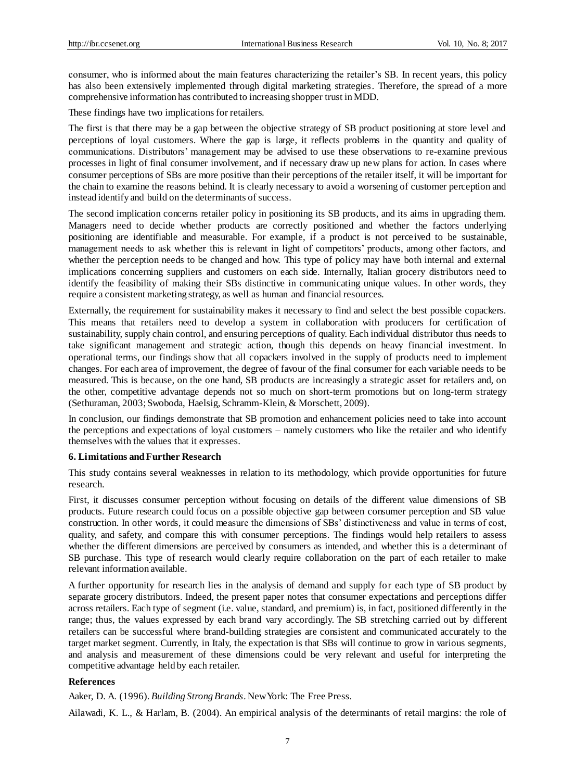consumer, who is informed about the main features characterizing the retailer's SB. In recent years, this policy has also been extensively implemented through digital marketing strategies. Therefore, the spread of a more comprehensive information has contributed to increasing shopper trust in MDD.

These findings have two implications for retailers.

The first is that there may be a gap between the objective strategy of SB product positioning at store level and perceptions of loyal customers. Where the gap is large, it reflects problems in the quantity and quality of communications. Distributors' management may be advised to use these observations to re-examine previous processes in light of final consumer involvement, and if necessary draw up new plans for action. In cases where consumer perceptions of SBs are more positive than their perceptions of the retailer itself, it will be important for the chain to examine the reasons behind. It is clearly necessary to avoid a worsening of customer perception and instead identify and build on the determinants of success.

The second implication concerns retailer policy in positioning its SB products, and its aims in upgrading them. Managers need to decide whether products are correctly positioned and whether the factors underlying positioning are identifiable and measurable. For example, if a product is not perceived to be sustainable, management needs to ask whether this is relevant in light of competitors' products, among other factors, and whether the perception needs to be changed and how. This type of policy may have both internal and external implications concerning suppliers and customers on each side. Internally, Italian grocery distributors need to identify the feasibility of making their SBs distinctive in communicating unique values. In other words, they require a consistent marketing strategy, as well as human and financial resources.

Externally, the requirement for sustainability makes it necessary to find and select the best possible copackers. This means that retailers need to develop a system in collaboration with producers for certification of sustainability, supply chain control, and ensuring perceptions of quality. Each individual distributor thus needs to take significant management and strategic action, though this depends on heavy financial investment. In operational terms, our findings show that all copackers involved in the supply of products need to implement changes. For each area of improvement, the degree of favour of the final consumer for each variable needs to be measured. This is because, on the one hand, SB products are increasingly a strategic asset for retailers and, on the other, competitive advantage depends not so much on short-term promotions but on long-term strategy (Sethuraman, 2003; Swoboda, Haelsig, Schramm-Klein, & Morschett, 2009).

In conclusion, our findings demonstrate that SB promotion and enhancement policies need to take into account the perceptions and expectations of loyal customers – namely customers who like the retailer and who identify themselves with the values that it expresses.

## **6. Limitations and Further Research**

This study contains several weaknesses in relation to its methodology, which provide opportunities for future research.

First, it discusses consumer perception without focusing on details of the different value dimensions of SB products. Future research could focus on a possible objective gap between consumer perception and SB value construction. In other words, it could measure the dimensions of SBs' distinctiveness and value in terms of cost, quality, and safety, and compare this with consumer perceptions. The findings would help retailers to assess whether the different dimensions are perceived by consumers as intended, and whether this is a determinant of SB purchase. This type of research would clearly require collaboration on the part of each retailer to make relevant information available.

A further opportunity for research lies in the analysis of demand and supply for each type of SB product by separate grocery distributors. Indeed, the present paper notes that consumer expectations and perceptions differ across retailers. Each type of segment (i.e. value, standard, and premium) is, in fact, positioned differently in the range; thus, the values expressed by each brand vary accordingly. The SB stretching carried out by different retailers can be successful where brand-building strategies are consistent and communicated accurately to the target market segment. Currently, in Italy, the expectation is that SBs will continue to grow in various segments, and analysis and measurement of these dimensions could be very relevant and useful for interpreting the competitive advantage held by each retailer.

#### **References**

Aaker, D. A. (1996). *Building Strong Brands*. New York: The Free Press.

Ailawadi, K. L., & Harlam, B. (2004). An empirical analysis of the determinants of retail margins: the role of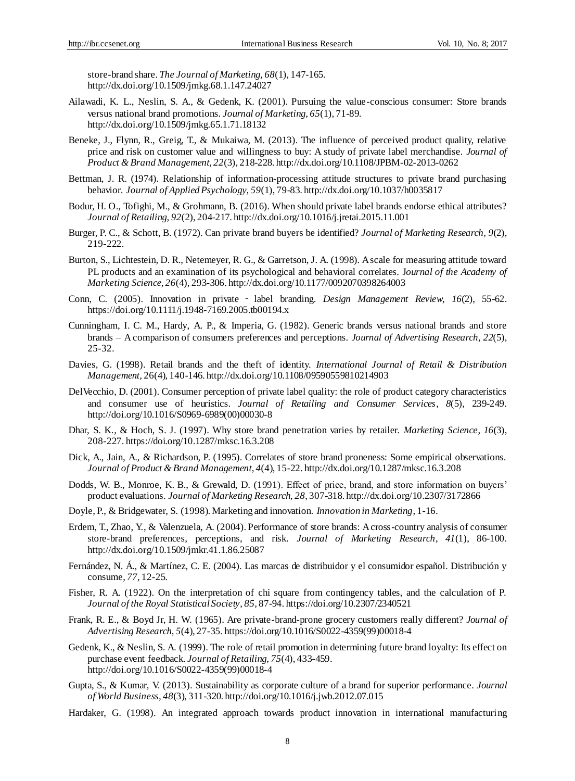store-brand share. *The Journal of Marketing, 68*(1), 147-165. http://dx.doi.org/10.1509/jmkg.68.1.147.24027

- Ailawadi, K. L., Neslin, S. A., & Gedenk, K. (2001). Pursuing the value-conscious consumer: Store brands versus national brand promotions. *Journal of Marketing*, *65*(1), 71-89. http://dx.doi.org/10.1509/jmkg.65.1.71.18132
- Beneke, J., Flynn, R., Greig, T., & Mukaiwa, M. (2013). The influence of perceived product quality, relative price and risk on customer value and willingness to buy: A study of private label merchandise. *Journal of Product & Brand Management*, *22*(3), 218-228. http://dx.doi.org/10.1108/JPBM-02-2013-0262
- Bettman, J. R. (1974). Relationship of information-processing attitude structures to private brand purchasing behavior. *Journal of Applied Psychology*, *59*(1), 79-83. http://dx.doi.org/10.1037/h0035817
- Bodur, H. O., Tofighi, M., & Grohmann, B. (2016). When should private label brands endorse ethical attributes? *Journal of Retailing, 92*(2), 204-217. http://dx.doi.org/10.1016/j.jretai.2015.11.001
- Burger, P. C., & Schott, B. (1972). Can private brand buyers be identified? *Journal of Marketing Research, 9*(2), 219-222.
- Burton, S., Lichtestein, D. R., Netemeyer, R. G., & Garretson, J. A. (1998). A scale for measuring attitude toward PL products and an examination of its psychological and behavioral correlates. J*ournal of the Academy of Marketing Science*, *26*(4), 293-306. http://dx.doi.org/10.1177/0092070398264003
- Conn, C. (2005). Innovation in private ‐ label branding. *Design Management Review, 16*(2), 55-62. https://doi.org/10.1111/j.1948-7169.2005.tb00194.x
- Cunningham, I. C. M., Hardy, A. P., & Imperia, G. (1982). Generic brands versus national brands and store brands – A comparison of consumers preferences and perceptions. *Journal of Advertising Research, 22*(5), 25-32.
- Davies, G. (1998). Retail brands and the theft of identity. *International Journal of Retail & Distribution Management,* 26(4), 140-146. http://dx.doi.org/10.1108/09590559810214903
- DelVecchio, D. (2001). Consumer perception of private label quality: the role of product category characteristics and consumer use of heuristics. *Journal of Retailing and Consumer Services*, *8*(5), 239-249. http://doi.org/10.1016/S0969-6989(00)00030-8
- Dhar, S. K., & Hoch, S. J. (1997). Why store brand penetration varies by retailer. *Marketing Science*, *16*(3), 208-227. https://doi.org/10.1287/mksc.16.3.208
- Dick, A., Jain, A., & Richardson, P. (1995). Correlates of store brand proneness: Some empirical observations. *Journal of Product & Brand Management*, *4*(4), 15-22. http://dx.doi.org/10.1287/mksc.16.3.208
- Dodds, W. B., Monroe, K. B., & Grewald, D. (1991). Effect of price, brand, and store information on buyers' product evaluations. *Journal of Marketing Research, 28*, 307-318. http://dx.doi.org/10.2307/3172866
- Doyle, P., & Bridgewater, S. (1998). Marketing and innovation. *Innovation in Marketing*, 1-16.
- Erdem, T., Zhao, Y., & Valenzuela, A. (2004). Performance of store brands: A cross-country analysis of consumer store-brand preferences, perceptions, and risk. *Journal of Marketing Research*, *41*(1), 86-100. http://dx.doi.org/10.1509/jmkr.41.1.86.25087
- Fernández, N. Á., & Martínez, C. E. (2004). Las marcas de distribuidor y el consumidor español. Distribución y consume, *77,* 12-25.
- Fisher, R. A. (1922). On the interpretation of chi square from contingency tables, and the calculation of P. *Journal of the Royal Statistical Society*, *85,* 87-94. https://doi.org/10.2307/2340521
- Frank, R. E., & Boyd Jr, H. W. (1965). Are private-brand-prone grocery customers really different? *Journal of Advertising Research, 5*(4)*,* 27-35. https://doi.org/10.1016/S0022-4359(99)00018-4
- Gedenk, K., & Neslin, S. A. (1999). The role of retail promotion in determining future brand loyalty: Its effect on purchase event feedback. *Journal of Retailing, 75*(4), 433-459. http://doi.org/10.1016/S0022-4359(99)00018-4
- Gupta, S., & Kumar, V. (2013). Sustainability as corporate culture of a brand for superior performance. *Journal of World Business, 48*(3), 311-320. http://doi.org/10.1016/j.jwb.2012.07.015
- Hardaker, G. (1998). An integrated approach towards product innovation in international manufacturing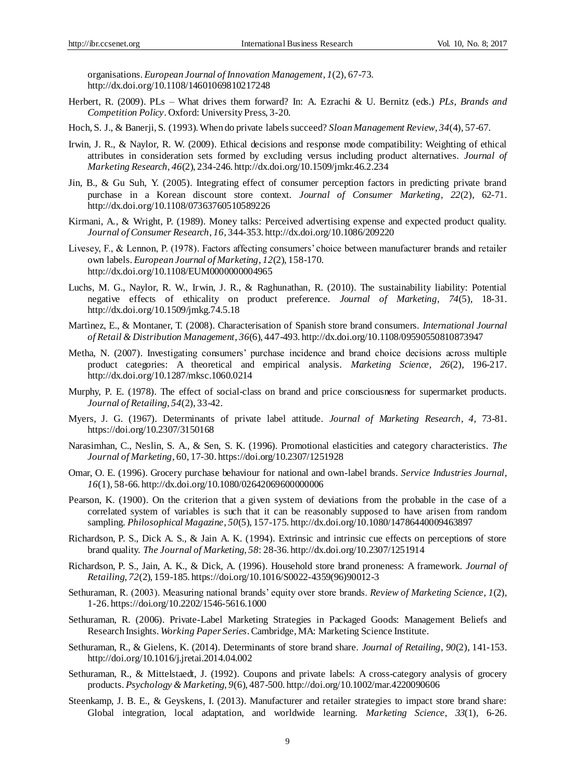organisations. *European Journal of Innovation Management*, *1*(2), 67-73. http://dx.doi.org/10.1108/14601069810217248

Herbert, R. (2009). PLs – What drives them forward? In: A. Ezrachi & U. Bernitz (eds.) *PLs, Brands and Competition Policy*. Oxford: University Press, 3-20.

Hoch, S. J., & Banerji, S. (1993). When do private labels succeed? *Sloan Management Review*, *34*(4), 57-67.

- Irwin, J. R., & Naylor, R. W. (2009). Ethical decisions and response mode compatibility: Weighting of ethical attributes in consideration sets formed by excluding versus including product alternatives. *Journal of Marketing Research, 46*(2), 234-246. http://dx.doi.org/10.1509/jmkr.46.2.234
- Jin, B., & Gu Suh, Y. (2005). Integrating effect of consumer perception factors in predicting private brand purchase in a Korean discount store context. *Journal of Consumer Marketing*, *22*(2), 62-71. http://dx.doi.org/10.1108/07363760510589226
- Kirmani, A., & Wright, P. (1989). Money talks: Perceived advertising expense and expected product quality. *Journal of Consumer Research*, *16,* 344-353. http://dx.doi.org/10.1086/209220
- Livesey, F., & Lennon, P. (1978). Factors affecting consumers' choice between manufacturer brands and retailer own labels. *European Journal of Marketing*, *12*(2), 158-170. http://dx.doi.org/10.1108/EUM0000000004965
- Luchs, M. G., Naylor, R. W., Irwin, J. R., & Raghunathan, R. (2010). The sustainability liability: Potential negative effects of ethicality on product preference. *Journal of Marketing, 74*(5), 18-31. http://dx.doi.org/10.1509/jmkg.74.5.18
- Mart hez, E., & Montaner, T. (2008). Characterisation of Spanish store brand consumers. *International Journal of Retail & Distribution Management*, *36*(6), 447-493. http://dx.doi.org/10.1108/09590550810873947
- Metha, N. (2007). Investigating consumers' purchase incidence and brand choice decisions across multiple product categories: A theoretical and empirical analysis. *Marketing Science*, *26*(2), 196-217. http://dx.doi.org/10.1287/mksc.1060.0214
- Murphy, P. E. (1978). The effect of social-class on brand and price consciousness for supermarket products. *Journal of Retailing*, *54*(2), 33-42.
- Myers, J. G. (1967). Determinants of private label attitude. *Journal of Marketing Research*, *4*, 73-81. https://doi.org/10.2307/3150168
- Narasimhan, C., Neslin, S. A., & Sen, S. K. (1996). Promotional elasticities and category characteristics. *The Journal of Marketing*, 60, 17-30. https://doi.org/10.2307/1251928
- Omar, O. E. (1996). Grocery purchase behaviour for national and own-label brands. *Service Industries Journal*, *16*(1), 58-66. http://dx.doi.org/10.1080/02642069600000006
- Pearson, K. (1900). On the criterion that a given system of deviations from the probable in the case of a correlated system of variables is such that it can be reasonably supposed to have arisen from random sampling. *Philosophical Magazine*, *50*(5), 157-175. http://dx.doi.org/10.1080/14786440009463897
- Richardson, P. S., Dick A. S., & Jain A. K. (1994). Extrinsic and intrinsic cue effects on perceptions of store brand quality. *The Journal of Marketing*, *58*: 28-36. http://dx.doi.org/10.2307/1251914
- Richardson, P. S., Jain, A. K., & Dick, A. (1996). Household store brand proneness: A framework. *Journal of Retailing*, *72*(2), 159-185. https://doi.org/10.1016/S0022-4359(96)90012-3
- Sethuraman, R. (2003). Measuring national brands' equity over store brands. *Review of Marketing Science*, *1*(2), 1-26. https://doi.org/10.2202/1546-5616.1000
- Sethuraman, R. (2006). Private-Label Marketing Strategies in Packaged Goods: Management Beliefs and Research Insights. *Working Paper Series*. Cambridge, MA: Marketing Science Institute.
- Sethuraman, R., & Gielens, K. (2014). Determinants of store brand share. *Journal of Retailing*, *90*(2), 141-153. http://doi.org/10.1016/j.jretai.2014.04.002
- Sethuraman, R., & Mittelstaedt, J. (1992). Coupons and private labels: A cross-category analysis of grocery products. *Psychology & Marketing, 9*(6), 487-500. http://doi.org/10.1002/mar.4220090606
- Steenkamp, J. B. E., & Geyskens, I. (2013). Manufacturer and retailer strategies to impact store brand share: Global integration, local adaptation, and worldwide learning. *Marketing Science*, *33*(1), 6-26.